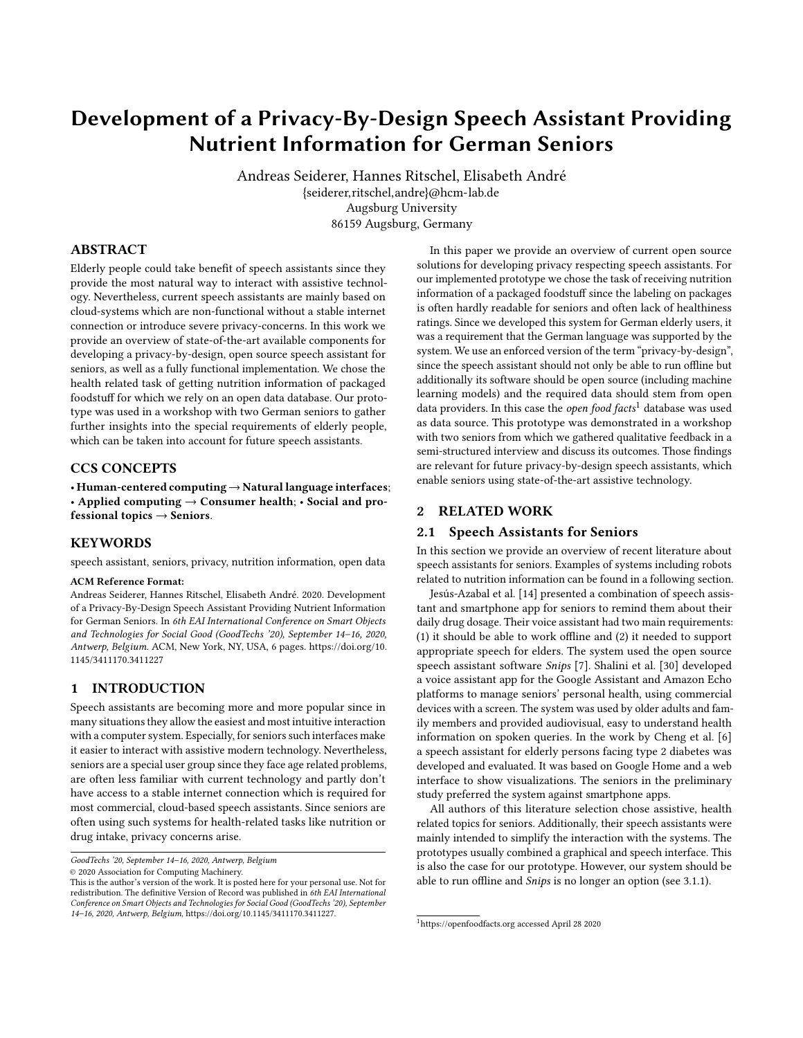# <span id="page-0-1"></span>Development of a Privacy-By-Design Speech Assistant Providing Nutrient Information for German Seniors

Andreas Seiderer, Hannes Ritschel, Elisabeth André {seiderer,ritschel,andre}@hcm-lab.de Augsburg University 86159 Augsburg, Germany

# ABSTRACT

Elderly people could take benefit of speech assistants since they provide the most natural way to interact with assistive technology. Nevertheless, current speech assistants are mainly based on cloud-systems which are non-functional without a stable internet connection or introduce severe privacy-concerns. In this work we provide an overview of state-of-the-art available components for developing a privacy-by-design, open source speech assistant for seniors, as well as a fully functional implementation. We chose the health related task of getting nutrition information of packaged foodstuff for which we rely on an open data database. Our prototype was used in a workshop with two German seniors to gather further insights into the special requirements of elderly people, which can be taken into account for future speech assistants.

# CCS CONCEPTS

• Human-centered computing→Natural language interfaces; • Applied computing  $\rightarrow$  Consumer health; • Social and professional topics  $\rightarrow$  Seniors.

#### **KEYWORDS**

speech assistant, seniors, privacy, nutrition information, open data

#### ACM Reference Format:

Andreas Seiderer, Hannes Ritschel, Elisabeth André. 2020. Development of a Privacy-By-Design Speech Assistant Providing Nutrient Information for German Seniors. In 6th EAI International Conference on Smart Objects and Technologies for Social Good (GoodTechs '20), September 14–16, 2020, Antwerp, Belgium. ACM, New York, NY, USA, [6](#page-5-0) pages. [https://doi.org/10.](https://doi.org/10.1145/3411170.3411227) [1145/3411170.3411227](https://doi.org/10.1145/3411170.3411227)

#### 1 INTRODUCTION

Speech assistants are becoming more and more popular since in many situations they allow the easiest and most intuitive interaction with a computer system. Especially, for seniors such interfaces make it easier to interact with assistive modern technology. Nevertheless, seniors are a special user group since they face age related problems, are often less familiar with current technology and partly don't have access to a stable internet connection which is required for most commercial, cloud-based speech assistants. Since seniors are often using such systems for health-related tasks like nutrition or drug intake, privacy concerns arise.

In this paper we provide an overview of current open source solutions for developing privacy respecting speech assistants. For our implemented prototype we chose the task of receiving nutrition information of a packaged foodstuff since the labeling on packages is often hardly readable for seniors and often lack of healthiness ratings. Since we developed this system for German elderly users, it was a requirement that the German language was supported by the system. We use an enforced version of the term "privacy-by-design", since the speech assistant should not only be able to run offline but additionally its software should be open source (including machine learning models) and the required data should stem from open data providers. In this case the *open food facts*<sup>[1](#page-0-0)</sup> database was used as data source. This prototype was demonstrated in a workshop with two seniors from which we gathered qualitative feedback in a semi-structured interview and discuss its outcomes. Those findings are relevant for future privacy-by-design speech assistants, which enable seniors using state-of-the-art assistive technology.

# 2 RELATED WORK

# 2.1 Speech Assistants for Seniors

In this section we provide an overview of recent literature about speech assistants for seniors. Examples of systems including robots related to nutrition information can be found in a following section.

[Jesús-Azabal et al.](#page-5-1) [\[14\]](#page-5-1) presented a combination of speech assistant and smartphone app for seniors to remind them about their daily drug dosage. Their voice assistant had two main requirements: (1) it should be able to work offline and (2) it needed to support appropriate speech for elders. The system used the open source speech assistant software Snips [\[7\]](#page-5-2). [Shalini et al.](#page-5-3) [\[30\]](#page-5-3) developed a voice assistant app for the Google Assistant and Amazon Echo platforms to manage seniors' personal health, using commercial devices with a screen. The system was used by older adults and family members and provided audiovisual, easy to understand health information on spoken queries. In the work by [Cheng et al.](#page-5-4) [\[6\]](#page-5-4) a speech assistant for elderly persons facing type 2 diabetes was developed and evaluated. It was based on Google Home and a web interface to show visualizations. The seniors in the preliminary study preferred the system against smartphone apps.

All authors of this literature selection chose assistive, health related topics for seniors. Additionally, their speech assistants were mainly intended to simplify the interaction with the systems. The prototypes usually combined a graphical and speech interface. This is also the case for our prototype. However, our system should be able to run offline and Snips is no longer an option (see [3.1.1\)](#page-1-0).

GoodTechs '20, September 14–16, 2020, Antwerp, Belgium

<sup>©</sup> 2020 Association for Computing Machinery.

This is the author's version of the work. It is posted here for your personal use. Not for redistribution. The definitive Version of Record was published in 6th EAI International Conference on Smart Objects and Technologies for Social Good (GoodTechs '20), September 14–16, 2020, Antwerp, Belgium, [https://doi.org/10.1145/3411170.3411227.](https://doi.org/10.1145/3411170.3411227)

<span id="page-0-0"></span><sup>1</sup><https://openfoodfacts.org> accessed April 28 2020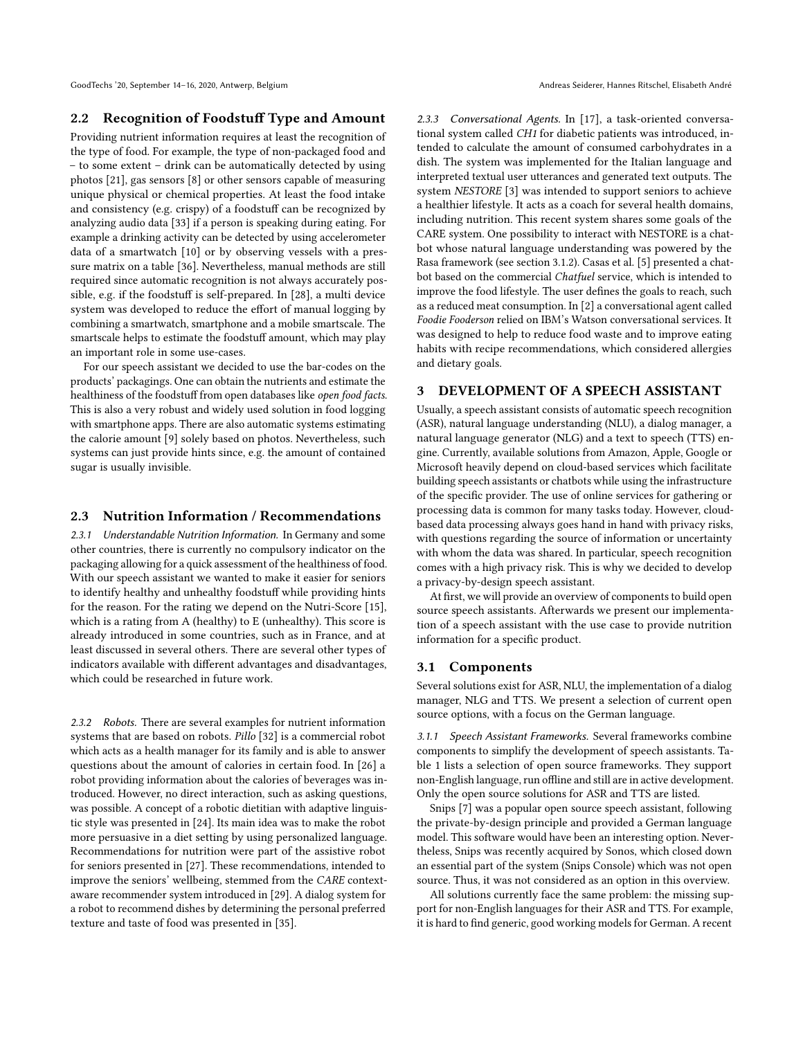GoodTechs '20, September 14-16, 2020, Antwerp, Belgium Andreas Seiderer, Hannes Ritschel, Elisabeth André

# 2.2 Recognition of Foodstuff Type and Amount

Providing nutrient information requires at least the recognition of the type of food. For example, the type of non-packaged food and – to some extent – drink can be automatically detected by using photos [\[21\]](#page-5-5), gas sensors [\[8\]](#page-5-6) or other sensors capable of measuring unique physical or chemical properties. At least the food intake and consistency (e.g. crispy) of a foodstuff can be recognized by analyzing audio data [\[33\]](#page-5-7) if a person is speaking during eating. For example a drinking activity can be detected by using accelerometer data of a smartwatch [\[10\]](#page-5-8) or by observing vessels with a pressure matrix on a table [\[36\]](#page-5-9). Nevertheless, manual methods are still required since automatic recognition is not always accurately possible, e.g. if the foodstuff is self-prepared. In [\[28\]](#page-5-10), a multi device system was developed to reduce the effort of manual logging by combining a smartwatch, smartphone and a mobile smartscale. The smartscale helps to estimate the foodstuff amount, which may play an important role in some use-cases.

For our speech assistant we decided to use the bar-codes on the products' packagings. One can obtain the nutrients and estimate the healthiness of the foodstuff from open databases like open food facts. This is also a very robust and widely used solution in food logging with smartphone apps. There are also automatic systems estimating the calorie amount [\[9\]](#page-5-11) solely based on photos. Nevertheless, such systems can just provide hints since, e.g. the amount of contained sugar is usually invisible.

#### 2.3 Nutrition Information / Recommendations

2.3.1 Understandable Nutrition Information. In Germany and some other countries, there is currently no compulsory indicator on the packaging allowing for a quick assessment of the healthiness of food. With our speech assistant we wanted to make it easier for seniors to identify healthy and unhealthy foodstuff while providing hints for the reason. For the rating we depend on the Nutri-Score [\[15\]](#page-5-12), which is a rating from A (healthy) to E (unhealthy). This score is already introduced in some countries, such as in France, and at least discussed in several others. There are several other types of indicators available with different advantages and disadvantages, which could be researched in future work.

2.3.2 Robots. There are several examples for nutrient information systems that are based on robots. Pillo [\[32\]](#page-5-13) is a commercial robot which acts as a health manager for its family and is able to answer questions about the amount of calories in certain food. In [\[26\]](#page-5-14) a robot providing information about the calories of beverages was introduced. However, no direct interaction, such as asking questions, was possible. A concept of a robotic dietitian with adaptive linguistic style was presented in [\[24\]](#page-5-15). Its main idea was to make the robot more persuasive in a diet setting by using personalized language. Recommendations for nutrition were part of the assistive robot for seniors presented in [\[27\]](#page-5-16). These recommendations, intended to improve the seniors' wellbeing, stemmed from the CARE contextaware recommender system introduced in [\[29\]](#page-5-17). A dialog system for a robot to recommend dishes by determining the personal preferred texture and taste of food was presented in [\[35\]](#page-5-18).

2.3.3 Conversational Agents. In [\[17\]](#page-5-19), a task-oriented conversational system called CH1 for diabetic patients was introduced, intended to calculate the amount of consumed carbohydrates in a dish. The system was implemented for the Italian language and interpreted textual user utterances and generated text outputs. The system NESTORE [\[3\]](#page-5-20) was intended to support seniors to achieve a healthier lifestyle. It acts as a coach for several health domains, including nutrition. This recent system shares some goals of the CARE system. One possibility to interact with NESTORE is a chatbot whose natural language understanding was powered by the Rasa framework (see section [3.1.2\)](#page-2-0). [Casas et al.](#page-5-21) [\[5\]](#page-5-21) presented a chatbot based on the commercial Chatfuel service, which is intended to improve the food lifestyle. The user defines the goals to reach, such as a reduced meat consumption. In [\[2\]](#page-5-22) a conversational agent called Foodie Fooderson relied on IBM's Watson conversational services. It was designed to help to reduce food waste and to improve eating habits with recipe recommendations, which considered allergies and dietary goals.

#### DEVELOPMENT OF A SPEECH ASSISTANT

Usually, a speech assistant consists of automatic speech recognition (ASR), natural language understanding (NLU), a dialog manager, a natural language generator (NLG) and a text to speech (TTS) engine. Currently, available solutions from Amazon, Apple, Google or Microsoft heavily depend on cloud-based services which facilitate building speech assistants or chatbots while using the infrastructure of the specific provider. The use of online services for gathering or processing data is common for many tasks today. However, cloudbased data processing always goes hand in hand with privacy risks, with questions regarding the source of information or uncertainty with whom the data was shared. In particular, speech recognition comes with a high privacy risk. This is why we decided to develop a privacy-by-design speech assistant.

At first, we will provide an overview of components to build open source speech assistants. Afterwards we present our implementation of a speech assistant with the use case to provide nutrition information for a specific product.

#### 3.1 Components

Several solutions exist for ASR, NLU, the implementation of a dialog manager, NLG and TTS. We present a selection of current open source options, with a focus on the German language.

<span id="page-1-0"></span>3.1.1 Speech Assistant Frameworks. Several frameworks combine components to simplify the development of speech assistants. Table [1](#page-2-1) lists a selection of open source frameworks. They support non-English language, run offline and still are in active development. Only the open source solutions for ASR and TTS are listed.

Snips [\[7\]](#page-5-2) was a popular open source speech assistant, following the private-by-design principle and provided a German language model. This software would have been an interesting option. Nevertheless, Snips was recently acquired by Sonos, which closed down an essential part of the system (Snips Console) which was not open source. Thus, it was not considered as an option in this overview.

All solutions currently face the same problem: the missing support for non-English languages for their ASR and TTS. For example, it is hard to find generic, good working models for German. A recent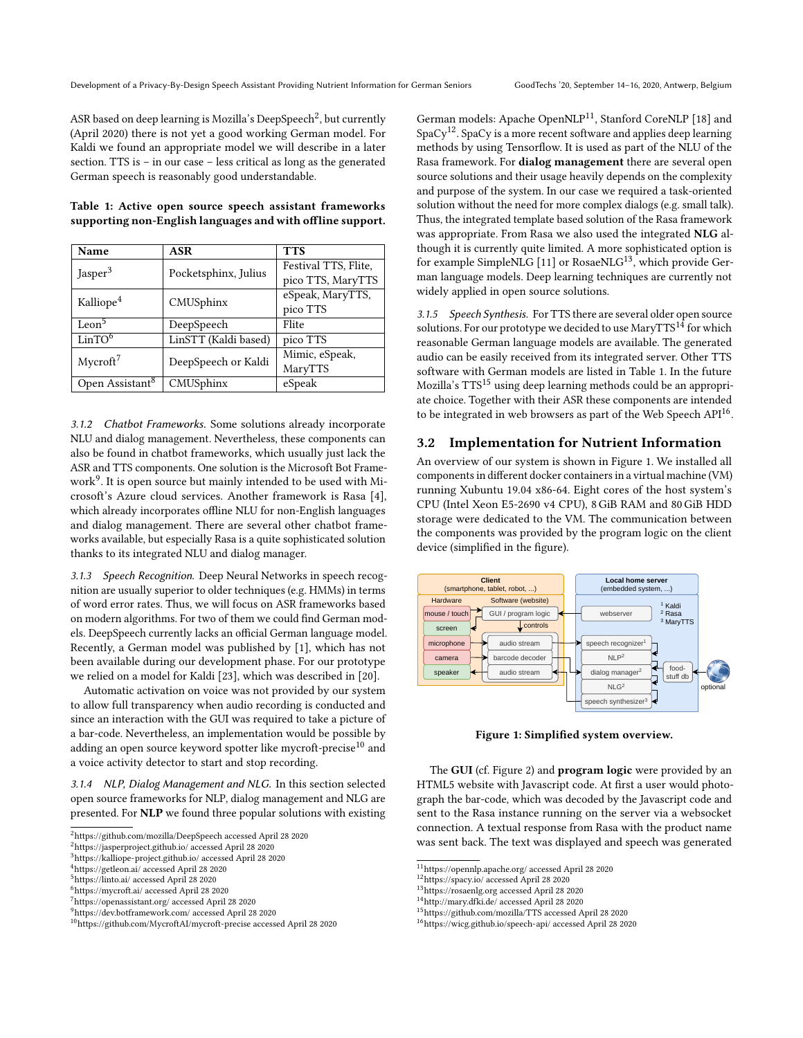ASR based on deep learning is Mozilla's DeepSpeech $^2$  $^2$ , but currently (April 2020) there is not yet a good working German model. For Kaldi we found an appropriate model we will describe in a later section. TTS is – in our case – less critical as long as the generated German speech is reasonably good understandable.

<span id="page-2-1"></span>

|  |  |  | Table 1: Active open source speech assistant frameworks    |
|--|--|--|------------------------------------------------------------|
|  |  |  | supporting non-English languages and with offline support. |

| Name                        | ASR                  | <b>TTS</b>           |
|-----------------------------|----------------------|----------------------|
| Jasper <sup>3</sup>         | Pocketsphinx, Julius | Festival TTS, Flite, |
|                             |                      | pico TTS, MaryTTS    |
| Kalliope <sup>4</sup>       | CMUSphinx            | eSpeak, MaryTTS,     |
|                             |                      | pico TTS             |
| Leon <sup>5</sup>           | DeepSpeech           | Flite                |
| Lin <sup>6</sup>            | LinSTT (Kaldi based) | pico TTS             |
| $M$ ycroft $^7$             | DeepSpeech or Kaldi  | Mimic, eSpeak,       |
|                             |                      | MaryTTS              |
| Open Assistant <sup>8</sup> | CMUSphinx            | eSpeak               |

<span id="page-2-0"></span>3.1.2 Chatbot Frameworks. Some solutions already incorporate NLU and dialog management. Nevertheless, these components can also be found in chatbot frameworks, which usually just lack the ASR and TTS components. One solution is the Microsoft Bot Framework[9](#page-2-3) . It is open source but mainly intended to be used with Microsoft's Azure cloud services. Another framework is Rasa [\[4\]](#page-5-23), which already incorporates offline NLU for non-English languages and dialog management. There are several other chatbot frameworks available, but especially Rasa is a quite sophisticated solution thanks to its integrated NLU and dialog manager.

3.1.3 Speech Recognition. Deep Neural Networks in speech recognition are usually superior to older techniques (e.g. HMMs) in terms of word error rates. Thus, we will focus on ASR frameworks based on modern algorithms. For two of them we could find German models. DeepSpeech currently lacks an official German language model. Recently, a German model was published by [\[1\]](#page-5-24), which has not been available during our development phase. For our prototype we relied on a model for Kaldi [\[23\]](#page-5-25), which was described in [\[20\]](#page-5-26).

Automatic activation on voice was not provided by our system to allow full transparency when audio recording is conducted and since an interaction with the GUI was required to take a picture of a bar-code. Nevertheless, an implementation would be possible by adding an open source keyword spotter like mycroft-precise $10$  and a voice activity detector to start and stop recording.

3.1.4 NLP, Dialog Management and NLG. In this section selected open source frameworks for NLP, dialog management and NLG are presented. For NLP we found three popular solutions with existing German models: Apache OpenNLP<sup>[11](#page-2-5)</sup>, Stanford CoreNLP [\[18\]](#page-5-27) and  $SpaCy<sup>12</sup>$  $SpaCy<sup>12</sup>$  $SpaCy<sup>12</sup>$ . SpaCy is a more recent software and applies deep learning methods by using Tensorflow. It is used as part of the NLU of the Rasa framework. For dialog management there are several open source solutions and their usage heavily depends on the complexity and purpose of the system. In our case we required a task-oriented solution without the need for more complex dialogs (e.g. small talk). Thus, the integrated template based solution of the Rasa framework was appropriate. From Rasa we also used the integrated NLG although it is currently quite limited. A more sophisticated option is for example SimpleNLG [\[11\]](#page-5-28) or RosaeNLG<sup>[13](#page-2-7)</sup>, which provide German language models. Deep learning techniques are currently not widely applied in open source solutions.

3.1.5 Speech Synthesis. For TTS there are several older open source solutions. For our prototype we decided to use  $\text{MaryTTS}^{14}$  $\text{MaryTTS}^{14}$  $\text{MaryTTS}^{14}$  for which reasonable German language models are available. The generated audio can be easily received from its integrated server. Other TTS software with German models are listed in Table [1.](#page-2-1) In the future Mozilla's TTS[15](#page-2-9) using deep learning methods could be an appropriate choice. Together with their ASR these components are intended to be integrated in web browsers as part of the Web Speech  $API^{16}$  $API^{16}$  $API^{16}$ .

# 3.2 Implementation for Nutrient Information

An overview of our system is shown in Figure [1.](#page-2-11) We installed all components in different docker containers in a virtual machine (VM) running Xubuntu 19.04 x86-64. Eight cores of the host system's CPU (Intel Xeon E5-2690 v4 CPU), 8 GiB RAM and 80 GiB HDD storage were dedicated to the VM. The communication between the components was provided by the program logic on the client device (simplified in the figure).

<span id="page-2-11"></span>

Figure 1: Simplified system overview.

The GUI (cf. Figure [2\)](#page-3-0) and program logic were provided by an HTML5 website with Javascript code. At first a user would photograph the bar-code, which was decoded by the Javascript code and sent to the Rasa instance running on the server via a websocket connection. A textual response from Rasa with the product name was sent back. The text was displayed and speech was generated

<span id="page-2-2"></span> $^2\rm{https://github.com/mozilla/DeepSpecch~accessed$  April 28 2020

<sup>2</sup><https://jasperproject.github.io/> accessed April 28 2020

<sup>3</sup><https://kalliope-project.github.io/> accessed April 28 2020

<sup>4</sup><https://getleon.ai/> accessed April 28 2020

<sup>5</sup><https://linto.ai/> accessed April 28 2020

<sup>6</sup><https://mycroft.ai/> accessed April 28 2020

<sup>7</sup><https://openassistant.org/> accessed April 28 2020

<span id="page-2-3"></span><sup>9</sup><https://dev.botframework.com/> accessed April 28 2020

<span id="page-2-4"></span><sup>10</sup><https://github.com/MycroftAI/mycroft-precise> accessed April 28 2020

<span id="page-2-5"></span><sup>11</sup><https://opennlp.apache.org/> accessed April 28 2020

<span id="page-2-6"></span><sup>&</sup>lt;sup>12</sup><https://spacy.io/> accessed April 28 2020

<span id="page-2-7"></span><sup>13</sup><https://rosaenlg.org> accessed April 28 2020

<span id="page-2-8"></span><sup>14</sup><http://mary.dfki.de/> accessed April 28 2020

<span id="page-2-9"></span><sup>15</sup><https://github.com/mozilla/TTS> accessed April 28 2020

<span id="page-2-10"></span><sup>16</sup><https://wicg.github.io/speech-api/> accessed April 28 2020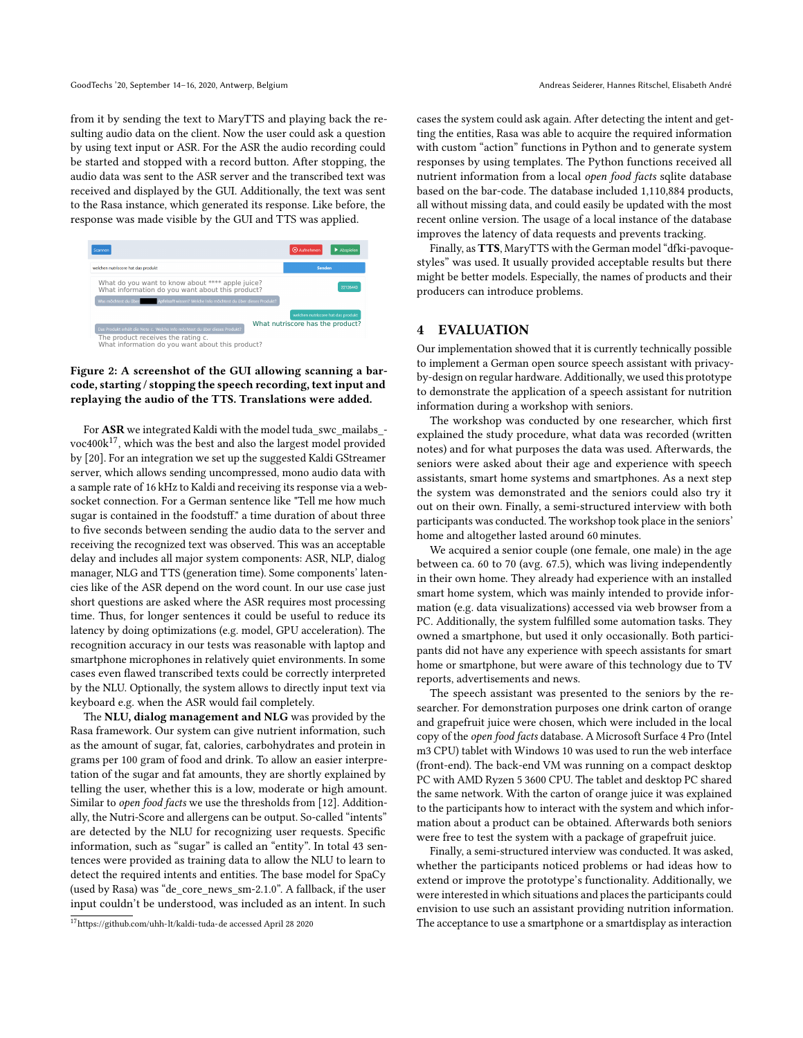from it by sending the text to MaryTTS and playing back the resulting audio data on the client. Now the user could ask a question by using text input or ASR. For the ASR the audio recording could be started and stopped with a record button. After stopping, the audio data was sent to the ASR server and the transcribed text was received and displayed by the GUI. Additionally, the text was sent to the Rasa instance, which generated its response. Like before, the response was made visible by the GUI and TTS was applied.

<span id="page-3-0"></span>

# Figure 2: A screenshot of the GUI allowing scanning a barcode, starting / stopping the speech recording, text input and replaying the audio of the TTS. Translations were added.

For ASR we integrated Kaldi with the model tuda\_swc\_mailabs\_ voc $400k^{17}$  $400k^{17}$  $400k^{17}$ , which was the best and also the largest model provided by [\[20\]](#page-5-26). For an integration we set up the suggested Kaldi GStreamer server, which allows sending uncompressed, mono audio data with a sample rate of 16 kHz to Kaldi and receiving its response via a websocket connection. For a German sentence like "Tell me how much sugar is contained in the foodstuff." a time duration of about three to five seconds between sending the audio data to the server and receiving the recognized text was observed. This was an acceptable delay and includes all major system components: ASR, NLP, dialog manager, NLG and TTS (generation time). Some components' latencies like of the ASR depend on the word count. In our use case just short questions are asked where the ASR requires most processing time. Thus, for longer sentences it could be useful to reduce its latency by doing optimizations (e.g. model, GPU acceleration). The recognition accuracy in our tests was reasonable with laptop and smartphone microphones in relatively quiet environments. In some cases even flawed transcribed texts could be correctly interpreted by the NLU. Optionally, the system allows to directly input text via keyboard e.g. when the ASR would fail completely.

The NLU, dialog management and NLG was provided by the Rasa framework. Our system can give nutrient information, such as the amount of sugar, fat, calories, carbohydrates and protein in grams per 100 gram of food and drink. To allow an easier interpretation of the sugar and fat amounts, they are shortly explained by telling the user, whether this is a low, moderate or high amount. Similar to open food facts we use the thresholds from [\[12\]](#page-5-29). Additionally, the Nutri-Score and allergens can be output. So-called "intents" are detected by the NLU for recognizing user requests. Specific information, such as "sugar" is called an "entity". In total 43 sentences were provided as training data to allow the NLU to learn to detect the required intents and entities. The base model for SpaCy (used by Rasa) was "de\_core\_news\_sm-2.1.0". A fallback, if the user input couldn't be understood, was included as an intent. In such

cases the system could ask again. After detecting the intent and getting the entities, Rasa was able to acquire the required information with custom "action" functions in Python and to generate system responses by using templates. The Python functions received all nutrient information from a local open food facts sqlite database based on the bar-code. The database included 1,110,884 products, all without missing data, and could easily be updated with the most recent online version. The usage of a local instance of the database improves the latency of data requests and prevents tracking.

Finally, as TTS, MaryTTS with the German model "dfki-pavoquestyles" was used. It usually provided acceptable results but there might be better models. Especially, the names of products and their producers can introduce problems.

# 4 EVALUATION

Our implementation showed that it is currently technically possible to implement a German open source speech assistant with privacyby-design on regular hardware. Additionally, we used this prototype to demonstrate the application of a speech assistant for nutrition information during a workshop with seniors.

The workshop was conducted by one researcher, which first explained the study procedure, what data was recorded (written notes) and for what purposes the data was used. Afterwards, the seniors were asked about their age and experience with speech assistants, smart home systems and smartphones. As a next step the system was demonstrated and the seniors could also try it out on their own. Finally, a semi-structured interview with both participants was conducted. The workshop took place in the seniors' home and altogether lasted around 60 minutes.

We acquired a senior couple (one female, one male) in the age between ca. 60 to 70 (avg. 67.5), which was living independently in their own home. They already had experience with an installed smart home system, which was mainly intended to provide information (e.g. data visualizations) accessed via web browser from a PC. Additionally, the system fulfilled some automation tasks. They owned a smartphone, but used it only occasionally. Both participants did not have any experience with speech assistants for smart home or smartphone, but were aware of this technology due to TV reports, advertisements and news.

The speech assistant was presented to the seniors by the researcher. For demonstration purposes one drink carton of orange and grapefruit juice were chosen, which were included in the local copy of the open food facts database. A Microsoft Surface 4 Pro (Intel m3 CPU) tablet with Windows 10 was used to run the web interface (front-end). The back-end VM was running on a compact desktop PC with AMD Ryzen 5 3600 CPU. The tablet and desktop PC shared the same network. With the carton of orange juice it was explained to the participants how to interact with the system and which information about a product can be obtained. Afterwards both seniors were free to test the system with a package of grapefruit juice.

Finally, a semi-structured interview was conducted. It was asked, whether the participants noticed problems or had ideas how to extend or improve the prototype's functionality. Additionally, we were interested in which situations and places the participants could envision to use such an assistant providing nutrition information. The acceptance to use a smartphone or a smartdisplay as interaction

<span id="page-3-1"></span><sup>17</sup><https://github.com/uhh-lt/kaldi-tuda-de> accessed April 28 2020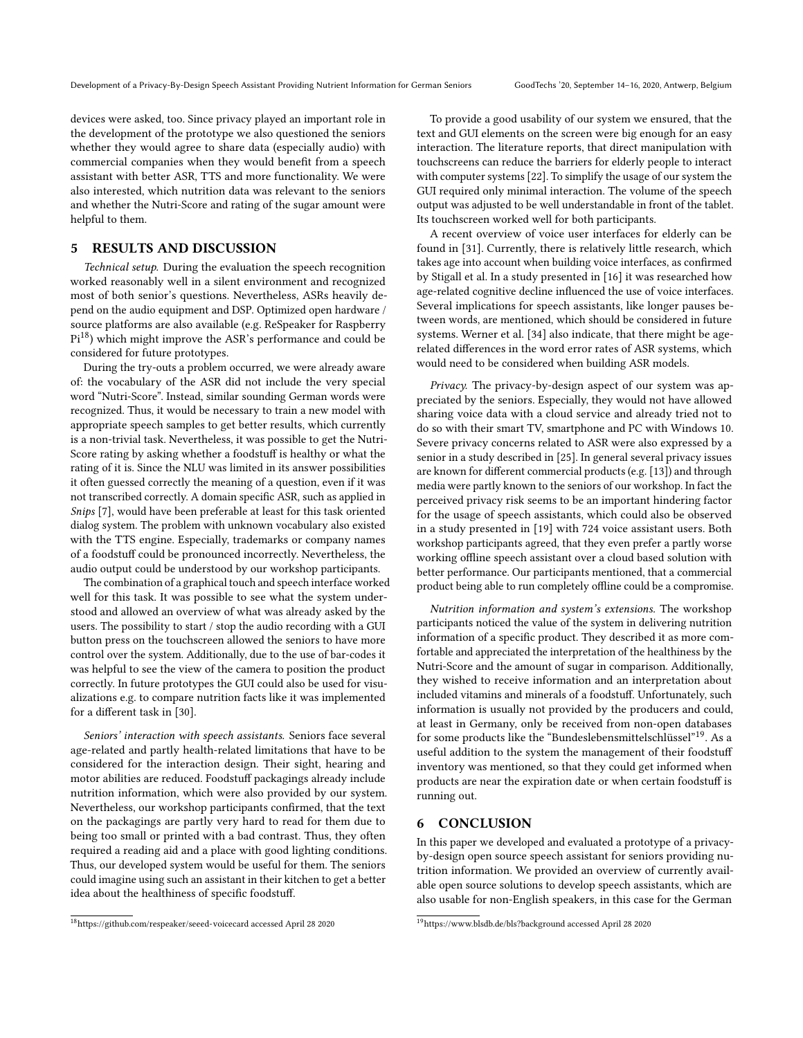devices were asked, too. Since privacy played an important role in the development of the prototype we also questioned the seniors whether they would agree to share data (especially audio) with commercial companies when they would benefit from a speech assistant with better ASR, TTS and more functionality. We were also interested, which nutrition data was relevant to the seniors and whether the Nutri-Score and rating of the sugar amount were helpful to them.

# 5 RESULTS AND DISCUSSION

Technical setup. During the evaluation the speech recognition worked reasonably well in a silent environment and recognized most of both senior's questions. Nevertheless, ASRs heavily depend on the audio equipment and DSP. Optimized open hardware / source platforms are also available (e.g. ReSpeaker for Raspberry  $Pi^{18}$  $Pi^{18}$  $Pi^{18}$ ) which might improve the ASR's performance and could be considered for future prototypes.

During the try-outs a problem occurred, we were already aware of: the vocabulary of the ASR did not include the very special word "Nutri-Score". Instead, similar sounding German words were recognized. Thus, it would be necessary to train a new model with appropriate speech samples to get better results, which currently is a non-trivial task. Nevertheless, it was possible to get the Nutri-Score rating by asking whether a foodstuff is healthy or what the rating of it is. Since the NLU was limited in its answer possibilities it often guessed correctly the meaning of a question, even if it was not transcribed correctly. A domain specific ASR, such as applied in Snips [\[7\]](#page-5-2), would have been preferable at least for this task oriented dialog system. The problem with unknown vocabulary also existed with the TTS engine. Especially, trademarks or company names of a foodstuff could be pronounced incorrectly. Nevertheless, the audio output could be understood by our workshop participants.

The combination of a graphical touch and speech interface worked well for this task. It was possible to see what the system understood and allowed an overview of what was already asked by the users. The possibility to start / stop the audio recording with a GUI button press on the touchscreen allowed the seniors to have more control over the system. Additionally, due to the use of bar-codes it was helpful to see the view of the camera to position the product correctly. In future prototypes the GUI could also be used for visualizations e.g. to compare nutrition facts like it was implemented for a different task in [\[30\]](#page-5-3).

Seniors' interaction with speech assistants. Seniors face several age-related and partly health-related limitations that have to be considered for the interaction design. Their sight, hearing and motor abilities are reduced. Foodstuff packagings already include nutrition information, which were also provided by our system. Nevertheless, our workshop participants confirmed, that the text on the packagings are partly very hard to read for them due to being too small or printed with a bad contrast. Thus, they often required a reading aid and a place with good lighting conditions. Thus, our developed system would be useful for them. The seniors could imagine using such an assistant in their kitchen to get a better idea about the healthiness of specific foodstuff.

To provide a good usability of our system we ensured, that the text and GUI elements on the screen were big enough for an easy interaction. The literature reports, that direct manipulation with touchscreens can reduce the barriers for elderly people to interact with computer systems [\[22\]](#page-5-30). To simplify the usage of our system the GUI required only minimal interaction. The volume of the speech output was adjusted to be well understandable in front of the tablet. Its touchscreen worked well for both participants.

A recent overview of voice user interfaces for elderly can be found in [\[31\]](#page-5-31). Currently, there is relatively little research, which takes age into account when building voice interfaces, as confirmed by [Stigall et al.](#page-5-31) In a study presented in [\[16\]](#page-5-32) it was researched how age-related cognitive decline influenced the use of voice interfaces. Several implications for speech assistants, like longer pauses between words, are mentioned, which should be considered in future systems. [Werner et al.](#page-5-33) [\[34\]](#page-5-33) also indicate, that there might be agerelated differences in the word error rates of ASR systems, which would need to be considered when building ASR models.

Privacy. The privacy-by-design aspect of our system was appreciated by the seniors. Especially, they would not have allowed sharing voice data with a cloud service and already tried not to do so with their smart TV, smartphone and PC with Windows 10. Severe privacy concerns related to ASR were also expressed by a senior in a study described in [\[25\]](#page-5-34). In general several privacy issues are known for different commercial products (e.g. [\[13\]](#page-5-35)) and through media were partly known to the seniors of our workshop. In fact the perceived privacy risk seems to be an important hindering factor for the usage of speech assistants, which could also be observed in a study presented in [\[19\]](#page-5-36) with 724 voice assistant users. Both workshop participants agreed, that they even prefer a partly worse working offline speech assistant over a cloud based solution with better performance. Our participants mentioned, that a commercial product being able to run completely offline could be a compromise.

Nutrition information and system's extensions. The workshop participants noticed the value of the system in delivering nutrition information of a specific product. They described it as more comfortable and appreciated the interpretation of the healthiness by the Nutri-Score and the amount of sugar in comparison. Additionally, they wished to receive information and an interpretation about included vitamins and minerals of a foodstuff. Unfortunately, such information is usually not provided by the producers and could, at least in Germany, only be received from non-open databases for some products like the "Bundeslebensmittelschlüssel"[19](#page-4-1). As a useful addition to the system the management of their foodstuff inventory was mentioned, so that they could get informed when products are near the expiration date or when certain foodstuff is running out.

# 6 CONCLUSION

In this paper we developed and evaluated a prototype of a privacyby-design open source speech assistant for seniors providing nutrition information. We provided an overview of currently available open source solutions to develop speech assistants, which are also usable for non-English speakers, in this case for the German

<span id="page-4-0"></span><sup>18</sup><https://github.com/respeaker/seeed-voicecard> accessed April 28 2020

<span id="page-4-1"></span><sup>19</sup><https://www.blsdb.de/bls?background> accessed April 28 2020